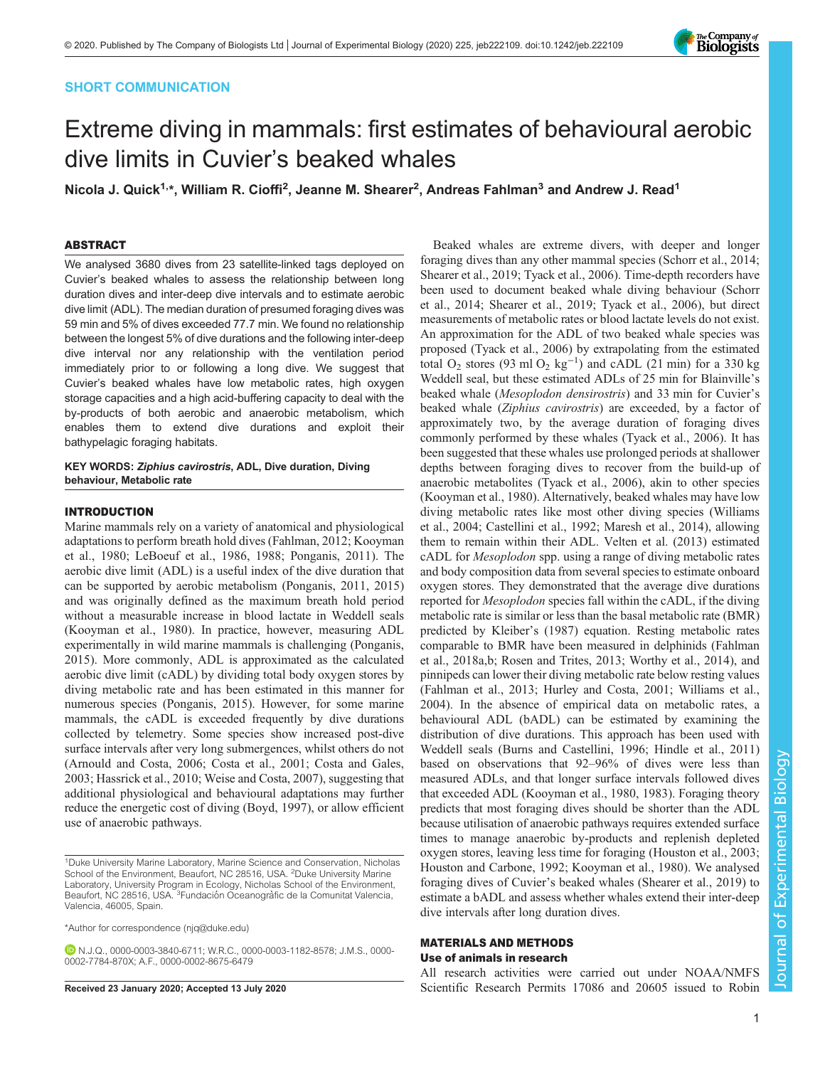# SHORT COMMUNICATION



# Extreme diving in mammals: first estimates of behavioural aerobic dive limits in Cuvier's beaked whales

Nicola J. Quick<sup>1,</sup>\*, William R. Cioffi<sup>2</sup>, Jeanne M. Shearer<sup>2</sup>, Andreas Fahlman<sup>3</sup> and Andrew J. Read<sup>1</sup>

# ABSTRACT

We analysed 3680 dives from 23 satellite-linked tags deployed on Cuvier's beaked whales to assess the relationship between long duration dives and inter-deep dive intervals and to estimate aerobic dive limit (ADL). The median duration of presumed foraging dives was 59 min and 5% of dives exceeded 77.7 min. We found no relationship between the longest 5% of dive durations and the following inter-deep dive interval nor any relationship with the ventilation period immediately prior to or following a long dive. We suggest that Cuvier's beaked whales have low metabolic rates, high oxygen storage capacities and a high acid-buffering capacity to deal with the by-products of both aerobic and anaerobic metabolism, which enables them to extend dive durations and exploit their bathypelagic foraging habitats.

KEY WORDS: Ziphius cavirostris, ADL, Dive duration, Diving behaviour, Metabolic rate

## INTRODUCTION

Marine mammals rely on a variety of anatomical and physiological adaptations to perform breath hold dives [\(Fahlman, 2012](#page-4-0); [Kooyman](#page-5-0) [et al., 1980; LeBoeuf et al., 1986](#page-5-0), [1988; Ponganis, 2011\)](#page-5-0). The aerobic dive limit (ADL) is a useful index of the dive duration that can be supported by aerobic metabolism [\(Ponganis, 2011, 2015\)](#page-5-0) and was originally defined as the maximum breath hold period without a measurable increase in blood lactate in Weddell seals [\(Kooyman et al., 1980](#page-5-0)). In practice, however, measuring ADL experimentally in wild marine mammals is challenging [\(Ponganis,](#page-5-0) [2015](#page-5-0)). More commonly, ADL is approximated as the calculated aerobic dive limit (cADL) by dividing total body oxygen stores by diving metabolic rate and has been estimated in this manner for numerous species ([Ponganis, 2015](#page-5-0)). However, for some marine mammals, the cADL is exceeded frequently by dive durations collected by telemetry. Some species show increased post-dive surface intervals after very long submergences, whilst others do not [\(Arnould and Costa, 2006; Costa et al., 2001](#page-4-0); [Costa and Gales,](#page-4-0) [2003](#page-4-0); [Hassrick et al., 2010](#page-4-0); [Weise and Costa, 2007\)](#page-5-0), suggesting that additional physiological and behavioural adaptations may further reduce the energetic cost of diving [\(Boyd, 1997\)](#page-4-0), or allow efficient use of anaerobic pathways.

\*Author for correspondence [\(njq@duke.edu\)](mailto:njq@duke.edu)

N.J.Q., [0000-0003-3840-6711](http://orcid.org/0000-0003-3840-6711); W.R.C., [0000-0003-1182-8578](http://orcid.org/0000-0003-1182-8578); J.M.S., [0000-](http://orcid.org/0000-0002-7784-870X) [0002-7784-870X](http://orcid.org/0000-0002-7784-870X); A.F., [0000-0002-8675-6479](http://orcid.org/0000-0002-8675-6479)

Beaked whales are extreme divers, with deeper and longer foraging dives than any other mammal species [\(Schorr et al., 2014](#page-5-0); [Shearer et al., 2019](#page-5-0); [Tyack et al., 2006\)](#page-5-0). Time-depth recorders have been used to document beaked whale diving behaviour ([Schorr](#page-5-0) [et al., 2014; Shearer et al., 2019](#page-5-0); [Tyack et al., 2006\)](#page-5-0), but direct measurements of metabolic rates or blood lactate levels do not exist. An approximation for the ADL of two beaked whale species was proposed ([Tyack et al., 2006\)](#page-5-0) by extrapolating from the estimated total O<sub>2</sub> stores (93 ml O<sub>2</sub> kg<sup>-1</sup>) and cADL (21 min) for a 330 kg Weddell seal, but these estimated ADLs of 25 min for Blainville's beaked whale (Mesoplodon densirostris) and 33 min for Cuvier's beaked whale (Ziphius cavirostris) are exceeded, by a factor of approximately two, by the average duration of foraging dives commonly performed by these whales ([Tyack et al., 2006](#page-5-0)). It has been suggested that these whales use prolonged periods at shallower depths between foraging dives to recover from the build-up of anaerobic metabolites [\(Tyack et al., 2006](#page-5-0)), akin to other species [\(Kooyman et al., 1980](#page-5-0)). Alternatively, beaked whales may have low diving metabolic rates like most other diving species ([Williams](#page-5-0) [et al., 2004](#page-5-0); [Castellini et al., 1992;](#page-4-0) [Maresh et al., 2014\)](#page-5-0), allowing them to remain within their ADL. [Velten et al. \(2013\)](#page-5-0) estimated cADL for Mesoplodon spp. using a range of diving metabolic rates and body composition data from several species to estimate onboard oxygen stores. They demonstrated that the average dive durations reported for Mesoplodon species fall within the cADL, if the diving metabolic rate is similar or less than the basal metabolic rate (BMR) predicted by Kleiber'[s \(1987\)](#page-5-0) equation. Resting metabolic rates comparable to BMR have been measured in delphinids [\(Fahlman](#page-4-0) [et al., 2018a](#page-4-0),[b;](#page-4-0) [Rosen and Trites, 2013; Worthy et al., 2014\)](#page-5-0), and pinnipeds can lower their diving metabolic rate below resting values [\(Fahlman et al., 2013;](#page-4-0) [Hurley and Costa, 2001](#page-5-0); [Williams et al.,](#page-5-0) [2004\)](#page-5-0). In the absence of empirical data on metabolic rates, a behavioural ADL (bADL) can be estimated by examining the distribution of dive durations. This approach has been used with Weddell seals [\(Burns and Castellini, 1996;](#page-4-0) [Hindle et al., 2011\)](#page-5-0) based on observations that 92–96% of dives were less than measured ADLs, and that longer surface intervals followed dives that exceeded ADL [\(Kooyman et al., 1980](#page-5-0), [1983\)](#page-5-0). Foraging theory predicts that most foraging dives should be shorter than the ADL because utilisation of anaerobic pathways requires extended surface times to manage anaerobic by-products and replenish depleted oxygen stores, leaving less time for foraging ([Houston et al., 2003](#page-5-0); [Houston and Carbone, 1992](#page-5-0); [Kooyman et al., 1980\)](#page-5-0). We analysed foraging dives of Cuvier's beaked whales ([Shearer et al., 2019\)](#page-5-0) to estimate a bADL and assess whether whales extend their inter-deep dive intervals after long duration dives.

## MATERIALS AND METHODS Use of animals in research

All research activities were carried out under NOAA/NMFS Received 23 January 2020; Accepted 13 July 2020 Scientific Research Permits 17086 and 20605 issued to Robin

<sup>&</sup>lt;sup>1</sup>Duke University Marine Laboratory, Marine Science and Conservation, Nicholas School of the Environment, Beaufort, NC 28516, USA. <sup>2</sup>Duke University Marine Laboratory, University Program in Ecology, Nicholas School of the Environment, Beaufort, NC 28516, USA. <sup>3</sup> Fundación Oceanogràfic de la Comunitat Valencia, Valencia, 46005, Spain.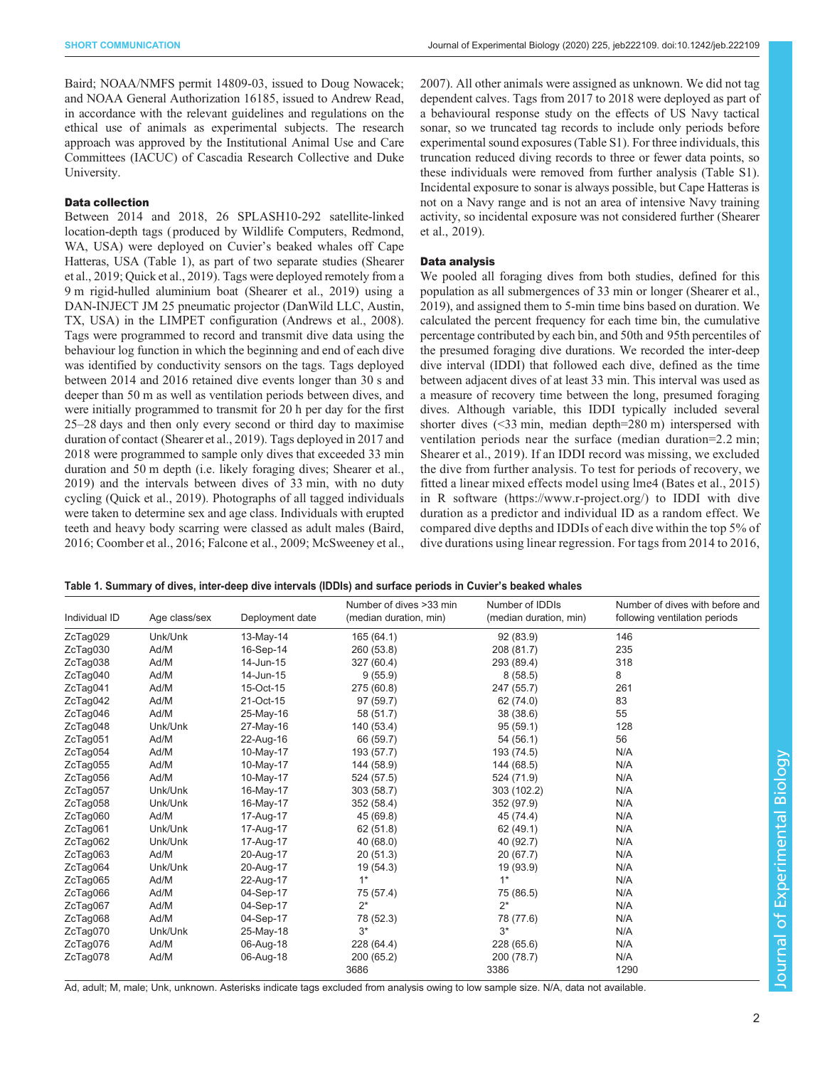<span id="page-1-0"></span>Baird; NOAA/NMFS permit 14809-03, issued to Doug Nowacek; and NOAA General Authorization 16185, issued to Andrew Read, in accordance with the relevant guidelines and regulations on the ethical use of animals as experimental subjects. The research approach was approved by the Institutional Animal Use and Care Committees (IACUC) of Cascadia Research Collective and Duke University.

## Data collection

Between 2014 and 2018, 26 SPLASH10-292 satellite-linked location-depth tags ( produced by Wildlife Computers, Redmond, WA, USA) were deployed on Cuvier's beaked whales off Cape Hatteras, USA (Table 1), as part of two separate studies ([Shearer](#page-5-0) [et al., 2019; Quick et al., 2019](#page-5-0)). Tags were deployed remotely from a 9 m rigid-hulled aluminium boat ([Shearer et al., 2019\)](#page-5-0) using a DAN-INJECT JM 25 pneumatic projector (DanWild LLC, Austin, TX, USA) in the LIMPET configuration ([Andrews et al., 2008\)](#page-4-0). Tags were programmed to record and transmit dive data using the behaviour log function in which the beginning and end of each dive was identified by conductivity sensors on the tags. Tags deployed between 2014 and 2016 retained dive events longer than 30 s and deeper than 50 m as well as ventilation periods between dives, and were initially programmed to transmit for 20 h per day for the first 25–28 days and then only every second or third day to maximise duration of contact ([Shearer et al., 2019](#page-5-0)). Tags deployed in 2017 and 2018 were programmed to sample only dives that exceeded 33 min duration and 50 m depth (i.e. likely foraging dives; [Shearer et al.,](#page-5-0) [2019](#page-5-0)) and the intervals between dives of 33 min, with no duty cycling ([Quick et al., 2019\)](#page-5-0). Photographs of all tagged individuals were taken to determine sex and age class. Individuals with erupted teeth and heavy body scarring were classed as adult males ([Baird,](#page-4-0) [2016](#page-4-0); [Coomber et al., 2016; Falcone et al., 2009](#page-4-0); [McSweeney et al.,](#page-5-0)

[2007\)](#page-5-0). All other animals were assigned as unknown. We did not tag dependent calves. Tags from 2017 to 2018 were deployed as part of a behavioural response study on the effects of US Navy tactical sonar, so we truncated tag records to include only periods before experimental sound exposures [\(Table S1](https://jeb.biologists.org/lookup/doi/10.1242/jeb.222109.supplemental)). For three individuals, this truncation reduced diving records to three or fewer data points, so these individuals were removed from further analysis ([Table S1\)](https://jeb.biologists.org/lookup/doi/10.1242/jeb.222109.supplemental). Incidental exposure to sonar is always possible, but Cape Hatteras is not on a Navy range and is not an area of intensive Navy training activity, so incidental exposure was not considered further ([Shearer](#page-5-0) [et al., 2019\)](#page-5-0).

## Data analysis

We pooled all foraging dives from both studies, defined for this population as all submergences of 33 min or longer [\(Shearer et al.,](#page-5-0) [2019\)](#page-5-0), and assigned them to 5-min time bins based on duration. We calculated the percent frequency for each time bin, the cumulative percentage contributed by each bin, and 50th and 95th percentiles of the presumed foraging dive durations. We recorded the inter-deep dive interval (IDDI) that followed each dive, defined as the time between adjacent dives of at least 33 min. This interval was used as a measure of recovery time between the long, presumed foraging dives. Although variable, this IDDI typically included several shorter dives (<33 min, median depth=280 m) interspersed with ventilation periods near the surface (median duration=2.2 min; [Shearer et al., 2019](#page-5-0)). If an IDDI record was missing, we excluded the dive from further analysis. To test for periods of recovery, we fitted a linear mixed effects model using lme4 [\(Bates et al., 2015\)](#page-4-0) in R software ([https://www.r-project.org/\)](https://www.r-project.org/) to IDDI with dive duration as a predictor and individual ID as a random effect. We compared dive depths and IDDIs of each dive within the top 5% of dive durations using linear regression. For tags from 2014 to 2016,

|  |  |  |  |  |  |  |  |  | Table 1. Summarv of dives, inter-deep dive intervals (IDDIs) and surface periods in Cuvier's beaked whales |
|--|--|--|--|--|--|--|--|--|------------------------------------------------------------------------------------------------------------|
|--|--|--|--|--|--|--|--|--|------------------------------------------------------------------------------------------------------------|

| Individual ID | Age class/sex | Deployment date | Number of dives >33 min<br>(median duration, min) | Number of IDDIs<br>(median duration, min) | Number of dives with before and<br>following ventilation periods |
|---------------|---------------|-----------------|---------------------------------------------------|-------------------------------------------|------------------------------------------------------------------|
| ZcTag029      | Unk/Unk       | 13-May-14       | 165 (64.1)                                        | 92 (83.9)                                 | 146                                                              |
| ZcTag030      | Ad/M          | 16-Sep-14       | 260 (53.8)                                        | 208 (81.7)                                | 235                                                              |
| ZcTag038      | Ad/M          | 14-Jun-15       | 327 (60.4)                                        | 293 (89.4)                                | 318                                                              |
| ZcTag040      | Ad/M          | 14-Jun-15       | 9(55.9)                                           | 8(58.5)                                   | 8                                                                |
| ZcTag041      | Ad/M          | 15-Oct-15       | 275 (60.8)                                        | 247 (55.7)                                | 261                                                              |
| ZcTag042      | Ad/M          | 21-Oct-15       | 97 (59.7)                                         | 62 (74.0)                                 | 83                                                               |
| ZcTag046      | Ad/M          | 25-May-16       | 58 (51.7)                                         | 38 (38.6)                                 | 55                                                               |
| ZcTag048      | Unk/Unk       | 27-May-16       | 140 (53.4)                                        | 95(59.1)                                  | 128                                                              |
| ZcTag051      | Ad/M          | 22-Aug-16       | 66 (59.7)                                         | 54 (56.1)                                 | 56                                                               |
| ZcTag054      | Ad/M          | 10-May-17       | 193 (57.7)                                        | 193 (74.5)                                | N/A                                                              |
| ZcTag055      | Ad/M          | 10-May-17       | 144 (58.9)                                        | 144 (68.5)                                | N/A                                                              |
| ZcTag056      | Ad/M          | 10-May-17       | 524 (57.5)                                        | 524 (71.9)                                | N/A                                                              |
| ZcTag057      | Unk/Unk       | 16-May-17       | 303 (58.7)                                        | 303 (102.2)                               | N/A                                                              |
| ZcTag058      | Unk/Unk       | 16-May-17       | 352 (58.4)                                        | 352 (97.9)                                | N/A                                                              |
| ZcTag060      | Ad/M          | 17-Aug-17       | 45 (69.8)                                         | 45 (74.4)                                 | N/A                                                              |
| ZcTag061      | Unk/Unk       | 17-Aug-17       | 62(51.8)                                          | 62 (49.1)                                 | N/A                                                              |
| ZcTag062      | Unk/Unk       | 17-Aug-17       | 40 (68.0)                                         | 40 (92.7)                                 | N/A                                                              |
| ZcTag063      | Ad/M          | 20-Aug-17       | 20(51.3)                                          | 20(67.7)                                  | N/A                                                              |
| ZcTag064      | Unk/Unk       | 20-Aug-17       | 19 (54.3)                                         | 19 (93.9)                                 | N/A                                                              |
| ZcTag065      | Ad/M          | 22-Aug-17       | $1^*$                                             | $1*$                                      | N/A                                                              |
| ZcTag066      | Ad/M          | 04-Sep-17       | 75 (57.4)                                         | 75 (86.5)                                 | N/A                                                              |
| ZcTag067      | Ad/M          | 04-Sep-17       | $2^*$                                             | $2^*$                                     | N/A                                                              |
| ZcTag068      | Ad/M          | 04-Sep-17       | 78 (52.3)                                         | 78 (77.6)                                 | N/A                                                              |
| ZcTag070      | Unk/Unk       | 25-May-18       | $3^*$                                             | $3*$                                      | N/A                                                              |
| ZcTag076      | Ad/M          | 06-Aug-18       | 228 (64.4)                                        | 228 (65.6)                                | N/A                                                              |
| ZcTag078      | Ad/M          | 06-Aug-18       | 200 (65.2)                                        | 200 (78.7)                                | N/A                                                              |
|               |               |                 | 3686                                              | 3386                                      | 1290                                                             |

Ad, adult; M, male; Unk, unknown. Asterisks indicate tags excluded from analysis owing to low sample size. N/A, data not available.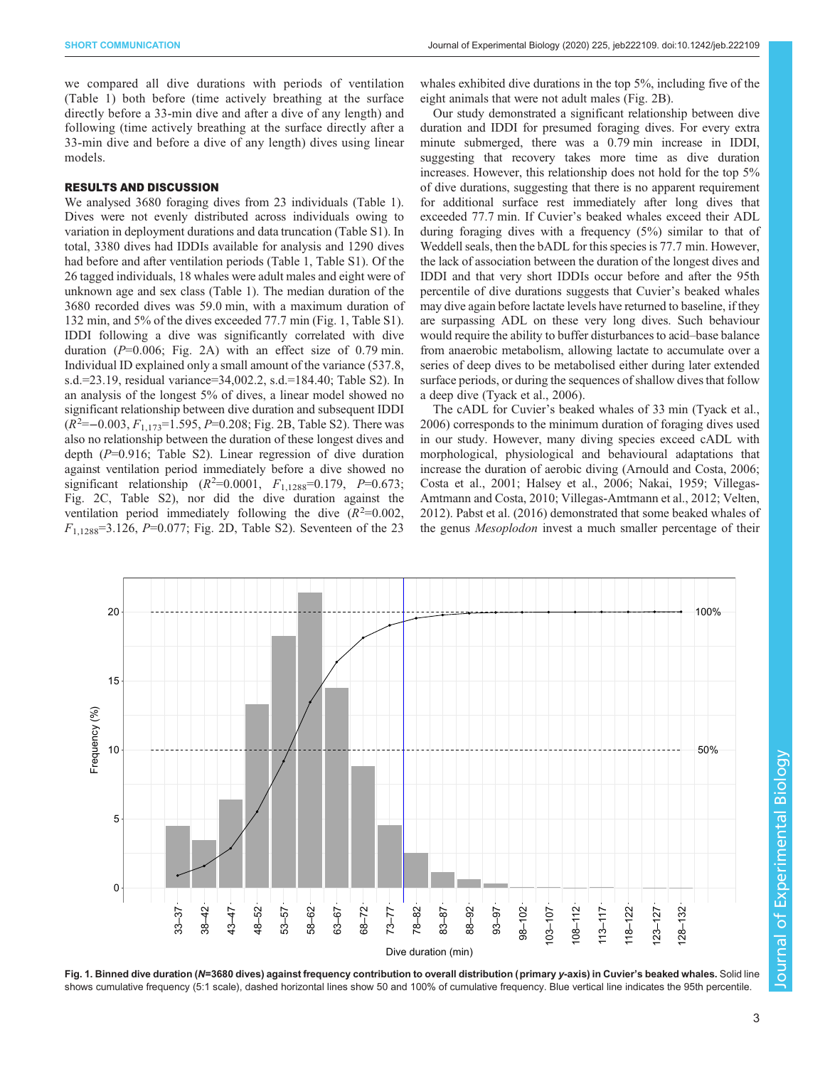we compared all dive durations with periods of ventilation [\(Table 1\)](#page-1-0) both before (time actively breathing at the surface directly before a 33-min dive and after a dive of any length) and following (time actively breathing at the surface directly after a 33-min dive and before a dive of any length) dives using linear models.

## RESULTS AND DISCUSSION

We analysed 3680 foraging dives from 23 individuals ([Table 1\)](#page-1-0). Dives were not evenly distributed across individuals owing to variation in deployment durations and data truncation ([Table S1\)](https://jeb.biologists.org/lookup/doi/10.1242/jeb.222109.supplemental). In total, 3380 dives had IDDIs available for analysis and 1290 dives had before and after ventilation periods [\(Table 1,](#page-1-0) [Table S1](https://jeb.biologists.org/lookup/doi/10.1242/jeb.222109.supplemental)). Of the 26 tagged individuals, 18 whales were adult males and eight were of unknown age and sex class [\(Table 1](#page-1-0)). The median duration of the 3680 recorded dives was 59.0 min, with a maximum duration of 132 min, and 5% of the dives exceeded 77.7 min (Fig. 1, [Table S1\)](https://jeb.biologists.org/lookup/doi/10.1242/jeb.222109.supplemental). IDDI following a dive was significantly correlated with dive duration  $(P=0.006$ ; [Fig. 2A](#page-3-0)) with an effect size of 0.79 min. Individual ID explained only a small amount of the variance (537.8, s.d.=23.19, residual variance=34,002.2, s.d.=184.40; [Table S2](https://jeb.biologists.org/lookup/doi/10.1242/jeb.222109.supplemental)). In an analysis of the longest 5% of dives, a linear model showed no significant relationship between dive duration and subsequent IDDI  $(R<sup>2</sup>=-0.003, F<sub>1,173</sub>=1.595, P=0.208; Fig. 2B, Table S2).$  $(R<sup>2</sup>=-0.003, F<sub>1,173</sub>=1.595, P=0.208; Fig. 2B, Table S2).$  $(R<sup>2</sup>=-0.003, F<sub>1,173</sub>=1.595, P=0.208; Fig. 2B, Table S2).$  $(R<sup>2</sup>=-0.003, F<sub>1,173</sub>=1.595, P=0.208; Fig. 2B, Table S2).$  $(R<sup>2</sup>=-0.003, F<sub>1,173</sub>=1.595, P=0.208; Fig. 2B, Table S2).$  There was also no relationship between the duration of these longest dives and depth  $(P=0.916$ ; [Table S2\)](https://jeb.biologists.org/lookup/doi/10.1242/jeb.222109.supplemental). Linear regression of dive duration against ventilation period immediately before a dive showed no significant relationship  $(R^2=0.0001, F_{1,1288}=0.179, P=0.673;$ [Fig. 2](#page-3-0)C, [Table S2](https://jeb.biologists.org/lookup/doi/10.1242/jeb.222109.supplemental)), nor did the dive duration against the ventilation period immediately following the dive  $(R^2=0.002,$  $F_{1.1288}$ =3.126, P=0.077; [Fig. 2](#page-3-0)D, [Table S2](https://jeb.biologists.org/lookup/doi/10.1242/jeb.222109.supplemental)). Seventeen of the 23

whales exhibited dive durations in the top 5%, including five of the eight animals that were not adult males [\(Fig. 2](#page-3-0)B).

Our study demonstrated a significant relationship between dive duration and IDDI for presumed foraging dives. For every extra minute submerged, there was a 0.79 min increase in IDDI, suggesting that recovery takes more time as dive duration increases. However, this relationship does not hold for the top 5% of dive durations, suggesting that there is no apparent requirement for additional surface rest immediately after long dives that exceeded 77.7 min. If Cuvier's beaked whales exceed their ADL during foraging dives with a frequency (5%) similar to that of Weddell seals, then the bADL for this species is 77.7 min. However, the lack of association between the duration of the longest dives and IDDI and that very short IDDIs occur before and after the 95th percentile of dive durations suggests that Cuvier's beaked whales may dive again before lactate levels have returned to baseline, if they are surpassing ADL on these very long dives. Such behaviour would require the ability to buffer disturbances to acid–base balance from anaerobic metabolism, allowing lactate to accumulate over a series of deep dives to be metabolised either during later extended surface periods, or during the sequences of shallow dives that follow a deep dive [\(Tyack et al., 2006](#page-5-0)).

The cADL for Cuvier's beaked whales of 33 min [\(Tyack et al.,](#page-5-0) [2006\)](#page-5-0) corresponds to the minimum duration of foraging dives used in our study. However, many diving species exceed cADL with morphological, physiological and behavioural adaptations that increase the duration of aerobic diving ([Arnould and Costa, 2006](#page-4-0); [Costa et al., 2001; Halsey et al., 2006](#page-4-0); [Nakai, 1959; Villegas-](#page-5-0)[Amtmann and Costa, 2010; Villegas-Amtmann et al., 2012](#page-5-0); [Velten,](#page-5-0) [2012\)](#page-5-0). [Pabst et al. \(2016\)](#page-5-0) demonstrated that some beaked whales of the genus Mesoplodon invest a much smaller percentage of their



Fig. 1. Binned dive duration (N=3680 dives) against frequency contribution to overall distribution (primary y-axis) in Cuvier's beaked whales. Solid line shows cumulative frequency (5:1 scale), dashed horizontal lines show 50 and 100% of cumulative frequency. Blue vertical line indicates the 95th percentile.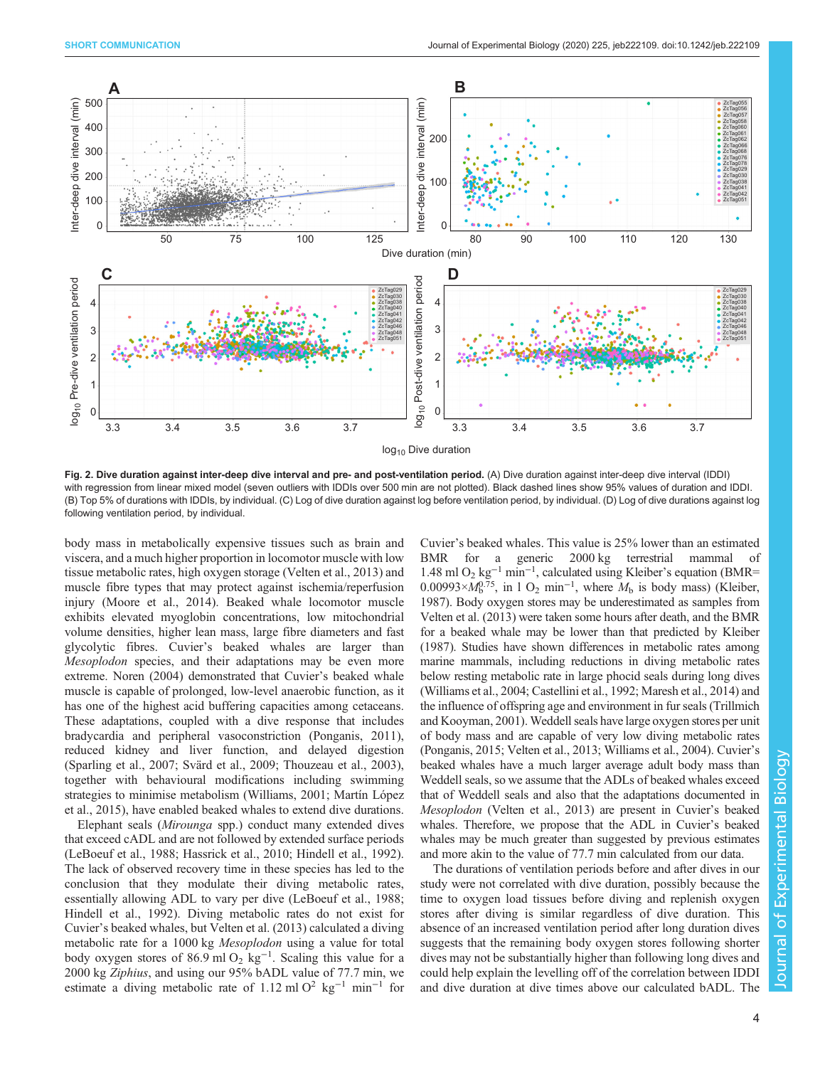<span id="page-3-0"></span>

Fig. 2. Dive duration against inter-deep dive interval and pre- and post-ventilation period. (A) Dive duration against inter-deep dive interval (IDDI) with regression from linear mixed model (seven outliers with IDDIs over 500 min are not plotted). Black dashed lines show 95% values of duration and IDDI. (B) Top 5% of durations with IDDIs, by individual. (C) Log of dive duration against log before ventilation period, by individual. (D) Log of dive durations against log following ventilation period, by individual.

body mass in metabolically expensive tissues such as brain and viscera, and a much higher proportion in locomotor muscle with low tissue metabolic rates, high oxygen storage ([Velten et al., 2013](#page-5-0)) and muscle fibre types that may protect against ischemia/reperfusion injury ([Moore et al., 2014](#page-5-0)). Beaked whale locomotor muscle exhibits elevated myoglobin concentrations, low mitochondrial volume densities, higher lean mass, large fibre diameters and fast glycolytic fibres. Cuvier's beaked whales are larger than Mesoplodon species, and their adaptations may be even more extreme. [Noren \(2004\)](#page-5-0) demonstrated that Cuvier's beaked whale muscle is capable of prolonged, low-level anaerobic function, as it has one of the highest acid buffering capacities among cetaceans. These adaptations, coupled with a dive response that includes bradycardia and peripheral vasoconstriction ([Ponganis, 2011\)](#page-5-0), reduced kidney and liver function, and delayed digestion [\(Sparling et al., 2007; Svärd et al., 2009; Thouzeau et al., 2003\)](#page-5-0), together with behavioural modifications including swimming strategies to minimise metabolism ([Williams, 2001](#page-5-0); [Martín López](#page-5-0) [et al., 2015](#page-5-0)), have enabled beaked whales to extend dive durations.

Elephant seals (Mirounga spp.) conduct many extended dives that exceed cADL and are not followed by extended surface periods [\(LeBoeuf et al., 1988](#page-5-0); [Hassrick et al., 2010;](#page-4-0) [Hindell et al., 1992\)](#page-5-0). The lack of observed recovery time in these species has led to the conclusion that they modulate their diving metabolic rates, essentially allowing ADL to vary per dive [\(LeBoeuf et al., 1988](#page-5-0); [Hindell et al., 1992\)](#page-5-0). Diving metabolic rates do not exist for Cuvier's beaked whales, but [Velten et al. \(2013\)](#page-5-0) calculated a diving metabolic rate for a 1000 kg Mesoplodon using a value for total body oxygen stores of 86.9 ml O<sub>2</sub> kg<sup>-1</sup>. Scaling this value for a 2000 kg Ziphius, and using our 95% bADL value of 77.7 min, we estimate a diving metabolic rate of 1.12 ml O2 kg−<sup>1</sup> min−<sup>1</sup> for Cuvier's beaked whales. This value is 25% lower than an estimated BMR for a generic 2000 kg terrestrial mammal of 1.48 ml O<sub>2</sub> kg<sup>-1</sup> min<sup>-1</sup>, calculated using Kleiber's equation (BMR=  $0.00993 \times M_b^{0.75}$ , in 1 O<sub>2</sub> min<sup>-1</sup>, where  $M_b$  is body mass) [\(Kleiber,](#page-5-0) [1987\)](#page-5-0). Body oxygen stores may be underestimated as samples from [Velten et al. \(2013\)](#page-5-0) were taken some hours after death, and the BMR for a beaked whale may be lower than that predicted by [Kleiber](#page-5-0) [\(1987\).](#page-5-0) Studies have shown differences in metabolic rates among marine mammals, including reductions in diving metabolic rates below resting metabolic rate in large phocid seals during long dives [\(Williams et al., 2004](#page-5-0); [Castellini et al., 1992;](#page-4-0) [Maresh et al., 2014\)](#page-5-0) and the influence of offspring age and environment in fur seals ([Trillmich](#page-5-0) [and Kooyman, 2001](#page-5-0)). Weddell seals have large oxygen stores per unit of body mass and are capable of very low diving metabolic rates [\(Ponganis, 2015; Velten et al., 2013; Williams et al., 2004\)](#page-5-0). Cuvier's beaked whales have a much larger average adult body mass than Weddell seals, so we assume that the ADLs of beaked whales exceed that of Weddell seals and also that the adaptations documented in Mesoplodon [\(Velten et al., 2013](#page-5-0)) are present in Cuvier's beaked whales. Therefore, we propose that the ADL in Cuvier's beaked whales may be much greater than suggested by previous estimates and more akin to the value of 77.7 min calculated from our data.

The durations of ventilation periods before and after dives in our study were not correlated with dive duration, possibly because the time to oxygen load tissues before diving and replenish oxygen stores after diving is similar regardless of dive duration. This absence of an increased ventilation period after long duration dives suggests that the remaining body oxygen stores following shorter dives may not be substantially higher than following long dives and could help explain the levelling off of the correlation between IDDI and dive duration at dive times above our calculated bADL. The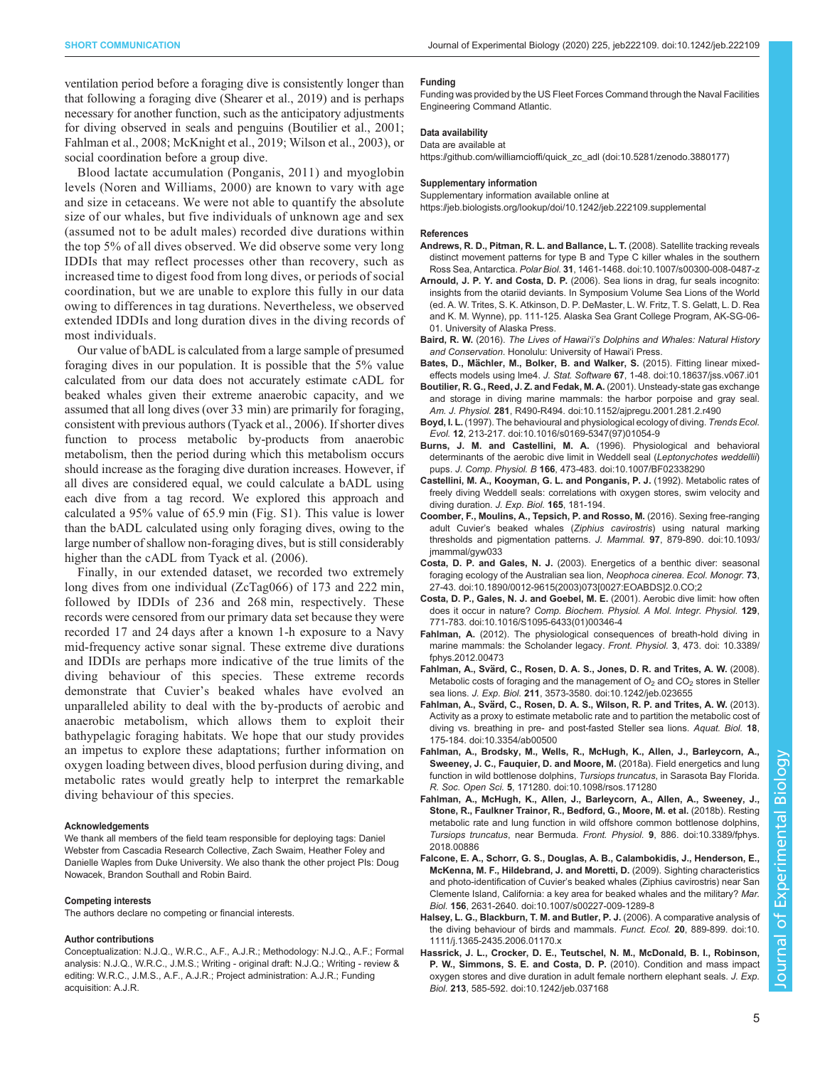<span id="page-4-0"></span>ventilation period before a foraging dive is consistently longer than that following a foraging dive [\(Shearer et al., 2019\)](#page-5-0) and is perhaps necessary for another function, such as the anticipatory adjustments for diving observed in seals and penguins (Boutilier et al., 2001; Fahlman et al., 2008; [McKnight et al., 2019](#page-5-0); [Wilson et al., 2003\)](#page-5-0), or social coordination before a group dive.

Blood lactate accumulation [\(Ponganis, 2011\)](#page-5-0) and myoglobin levels [\(Noren and Williams, 2000\)](#page-5-0) are known to vary with age and size in cetaceans. We were not able to quantify the absolute size of our whales, but five individuals of unknown age and sex (assumed not to be adult males) recorded dive durations within the top 5% of all dives observed. We did observe some very long IDDIs that may reflect processes other than recovery, such as increased time to digest food from long dives, or periods of social coordination, but we are unable to explore this fully in our data owing to differences in tag durations. Nevertheless, we observed extended IDDIs and long duration dives in the diving records of most individuals.

Our value of bADL is calculated from a large sample of presumed foraging dives in our population. It is possible that the 5% value calculated from our data does not accurately estimate cADL for beaked whales given their extreme anaerobic capacity, and we assumed that all long dives (over 33 min) are primarily for foraging, consistent with previous authors [\(Tyack et al., 2006](#page-5-0)). If shorter dives function to process metabolic by-products from anaerobic metabolism, then the period during which this metabolism occurs should increase as the foraging dive duration increases. However, if all dives are considered equal, we could calculate a bADL using each dive from a tag record. We explored this approach and calculated a 95% value of 65.9 min [\(Fig. S1](https://jeb.biologists.org/lookup/doi/10.1242/jeb.222109.supplemental)). This value is lower than the bADL calculated using only foraging dives, owing to the large number of shallow non-foraging dives, but is still considerably higher than the cADL from [Tyack et al. \(2006\).](#page-5-0)

Finally, in our extended dataset, we recorded two extremely long dives from one individual (ZcTag066) of 173 and 222 min, followed by IDDIs of 236 and 268 min, respectively. These records were censored from our primary data set because they were recorded 17 and 24 days after a known 1-h exposure to a Navy mid-frequency active sonar signal. These extreme dive durations and IDDIs are perhaps more indicative of the true limits of the diving behaviour of this species. These extreme records demonstrate that Cuvier's beaked whales have evolved an unparalleled ability to deal with the by-products of aerobic and anaerobic metabolism, which allows them to exploit their bathypelagic foraging habitats. We hope that our study provides an impetus to explore these adaptations; further information on oxygen loading between dives, blood perfusion during diving, and metabolic rates would greatly help to interpret the remarkable diving behaviour of this species.

#### Acknowledgements

We thank all members of the field team responsible for deploying tags: Daniel Webster from Cascadia Research Collective, Zach Swaim, Heather Foley and Danielle Waples from Duke University. We also thank the other project PIs: Doug Nowacek, Brandon Southall and Robin Baird.

#### Competing interests

The authors declare no competing or financial interests.

## Author contributions

Conceptualization: N.J.Q., W.R.C., A.F., A.J.R.; Methodology: N.J.Q., A.F.; Formal analysis: N.J.Q., W.R.C., J.M.S.; Writing - original draft: N.J.Q.; Writing - review & editing: W.R.C., J.M.S., A.F., A.J.R.; Project administration: A.J.R.; Funding acquisition: A.J.R.

#### Funding

Funding was provided by the US Fleet Forces Command through the Naval Facilities Engineering Command Atlantic.

#### Data availability

#### Data are available at

[https://github.com/williamcioffi/quick\\_zc\\_adl](https://github.com/williamcioffi/quick_zc_adl) [\(doi:10.5281/zenodo.3880177](https://doi.org/10.5281/zenodo.3880177))

## Supplementary information

Supplementary information available online at

<https://jeb.biologists.org/lookup/doi/10.1242/jeb.222109.supplemental>

#### References

- [Andrews, R. D., Pitman, R. L. and Ballance, L. T.](https://doi.org/10.1007/s00300-008-0487-z) (2008). Satellite tracking reveals [distinct movement patterns for type B and Type C killer whales in the southern](https://doi.org/10.1007/s00300-008-0487-z) Ross Sea, Antarctica. Polar Biol. 31[, 1461-1468. doi:10.1007/s00300-008-0487-z](https://doi.org/10.1007/s00300-008-0487-z)
- Arnould, J. P. Y. and Costa, D. P. (2006). Sea lions in drag, fur seals incognito: insights from the otariid deviants. In Symposium Volume Sea Lions of the World (ed. A. W. Trites, S. K. Atkinson, D. P. DeMaster, L. W. Fritz, T. S. Gelatt, L. D. Rea and K. M. Wynne), pp. 111-125. Alaska Sea Grant College Program, AK-SG-06- 01. University of Alaska Press.
- Baird, R. W. (2016). The Lives of Hawai'i's Dolphins and Whales: Natural History and Conservation. Honolulu: University of Hawai'i Press.
- Bates, D., Mä[chler, M., Bolker, B. and Walker, S.](https://doi.org/10.18637/jss.v067.i01) (2015). Fitting linear mixedeffects models using lme4. J. Stat. Software 67[, 1-48. doi:10.18637/jss.v067.i01](https://doi.org/10.18637/jss.v067.i01)
- [Boutilier, R. G., Reed, J. Z. and Fedak, M. A.](https://doi.org/10.1152/ajpregu.2001.281.2.r490) (2001). Unsteady-state gas exchange [and storage in diving marine mammals: the harbor porpoise and gray seal.](https://doi.org/10.1152/ajpregu.2001.281.2.r490) Am. J. Physiol. 281[, R490-R494. doi:10.1152/ajpregu.2001.281.2.r490](https://doi.org/10.1152/ajpregu.2001.281.2.r490)
- Boyd, I. L. [\(1997\). The behavioural and physiological ecology of diving.](https://doi.org/10.1016/s0169-5347(97)01054-9) Trends Ecol. Evol. 12[, 213-217. doi:10.1016/s0169-5347\(97\)01054-9](https://doi.org/10.1016/s0169-5347(97)01054-9)
- [Burns, J. M. and Castellini, M. A.](https://doi.org/10.1007/BF02338290) (1996). Physiological and behavioral [determinants of the aerobic dive limit in Weddell seal \(](https://doi.org/10.1007/BF02338290)Leptonychotes weddellii) pups. J. Comp. Physiol. B 166[, 473-483. doi:10.1007/BF02338290](https://doi.org/10.1007/BF02338290)
- Castellini, M. A., Kooyman, G. L. and Ponganis, P. J. (1992). Metabolic rates of freely diving Weddell seals: correlations with oxygen stores, swim velocity and diving duration. J. Exp. Biol. 165, 181-194.
- [Coomber, F., Moulins, A., Tepsich, P. and Rosso, M.](https://doi.org/10.1093/jmammal/gyw033) (2016). Sexing free-ranging adult Cuvier's beaked whales (Ziphius cavirostris[\) using natural marking](https://doi.org/10.1093/jmammal/gyw033) [thresholds and pigmentation patterns.](https://doi.org/10.1093/jmammal/gyw033) J. Mammal. 97, 879-890. doi:10.1093/ [jmammal/gyw033](https://doi.org/10.1093/jmammal/gyw033)
- Costa, D. P. and Gales, N. J. [\(2003\). Energetics of a benthic diver: seasonal](https://doi.org/10.1890/0012-9615(2003)073[0027:EOABDS]2.0.CO;2) [foraging ecology of the Australian sea lion,](https://doi.org/10.1890/0012-9615(2003)073[0027:EOABDS]2.0.CO;2) Neophoca cinerea. Ecol. Monogr. 73, [27-43. doi:10.1890/0012-9615\(2003\)073\[0027:EOABDS\]2.0.CO;2](https://doi.org/10.1890/0012-9615(2003)073[0027:EOABDS]2.0.CO;2)
- [Costa, D. P., Gales, N. J. and Goebel, M. E.](https://doi.org/10.1016/S1095-6433(01)00346-4) (2001). Aerobic dive limit: how often does it occur in nature? [Comp. Biochem. Physiol. A Mol. Integr. Physiol.](https://doi.org/10.1016/S1095-6433(01)00346-4) 129, [771-783. doi:10.1016/S1095-6433\(01\)00346-4](https://doi.org/10.1016/S1095-6433(01)00346-4)
- Fahlman, A. [\(2012\). The physiological consequences of breath-hold diving in](https://doi.org/ 10.3389/fphys.2012.00473) [marine mammals: the Scholander legacy.](https://doi.org/ 10.3389/fphys.2012.00473) Front. Physiol. 3, 473. doi: 10.3389/ [fphys.2012.00473](https://doi.org/ 10.3389/fphys.2012.00473)
- Fahlman, A., Svä[rd, C., Rosen, D. A. S., Jones, D. R. and Trites, A. W.](https://doi.org/10.1242/jeb.023655) (2008). Metabolic costs of foraging and the management of  $O_2$  and  $CO_2$  [stores in Steller](https://doi.org/10.1242/jeb.023655) sea lions. J. Exp. Biol. 211[, 3573-3580. doi:10.1242/jeb.023655](https://doi.org/10.1242/jeb.023655)
- Fahlman, A., Svä[rd, C., Rosen, D. A. S., Wilson, R. P. and Trites, A. W.](https://doi.org/10.3354/ab00500) (2013). [Activity as a proxy to estimate metabolic rate and to partition the metabolic cost of](https://doi.org/10.3354/ab00500) [diving vs. breathing in pre- and post-fasted Steller sea lions.](https://doi.org/10.3354/ab00500) Aquat. Biol. 18, [175-184. doi:10.3354/ab00500](https://doi.org/10.3354/ab00500)
- [Fahlman, A., Brodsky, M., Wells, R., McHugh, K., Allen, J., Barleycorn, A.,](https://doi.org/10.1098/rsos.171280) [Sweeney, J. C., Fauquier, D. and Moore, M.](https://doi.org/10.1098/rsos.171280) (2018a). Field energetics and lung [function in wild bottlenose dolphins,](https://doi.org/10.1098/rsos.171280) Tursiops truncatus, in Sarasota Bay Florida. R. Soc. Open Sci. 5[, 171280. doi:10.1098/rsos.171280](https://doi.org/10.1098/rsos.171280)
- [Fahlman, A., McHugh, K., Allen, J., Barleycorn, A., Allen, A., Sweeney, J.,](https://doi.org/10.3389/fphys.2018.00886) [Stone, R., Faulkner Trainor, R., Bedford, G., Moore, M. et al.](https://doi.org/10.3389/fphys.2018.00886) (2018b). Resting [metabolic rate and lung function in wild offshore common bottlenose dolphins,](https://doi.org/10.3389/fphys.2018.00886) Tursiops truncatus, near Bermuda. Front. Physiol. 9[, 886. doi:10.3389/fphys.](https://doi.org/10.3389/fphys.2018.00886) [2018.00886](https://doi.org/10.3389/fphys.2018.00886)
- [Falcone, E. A., Schorr, G. S., Douglas, A. B., Calambokidis, J., Henderson, E.,](https://doi.org/10.1007/s00227-009-1289-8) [McKenna, M. F., Hildebrand, J. and Moretti, D.](https://doi.org/10.1007/s00227-009-1289-8) (2009). Sighting characteristics and photo-identification of Cuvier'[s beaked whales \(Ziphius cavirostris\) near San](https://doi.org/10.1007/s00227-009-1289-8) [Clemente Island, California: a key area for beaked whales and the military?](https://doi.org/10.1007/s00227-009-1289-8) Mar. Biol. 156[, 2631-2640. doi:10.1007/s00227-009-1289-8](https://doi.org/10.1007/s00227-009-1289-8)
- [Halsey, L. G., Blackburn, T. M. and Butler, P. J.](https://doi.org/10.1111/j.1365-2435.2006.01170.x) (2006). A comparative analysis of [the diving behaviour of birds and mammals.](https://doi.org/10.1111/j.1365-2435.2006.01170.x) Funct. Ecol. 20, 889-899. doi:10. [1111/j.1365-2435.2006.01170.x](https://doi.org/10.1111/j.1365-2435.2006.01170.x)
- [Hassrick, J. L., Crocker, D. E., Teutschel, N. M., McDonald, B. I., Robinson,](https://doi.org/10.1242/jeb.037168) [P. W., Simmons, S. E. and Costa, D. P.](https://doi.org/10.1242/jeb.037168) (2010). Condition and mass impact [oxygen stores and dive duration in adult female northern elephant seals.](https://doi.org/10.1242/jeb.037168) J. Exp. Biol. 213[, 585-592. doi:10.1242/jeb.037168](https://doi.org/10.1242/jeb.037168)